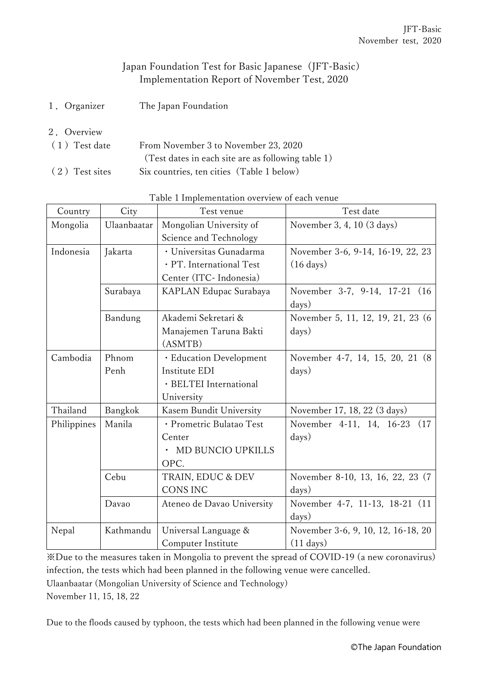## Japan Foundation Test for Basic Japanese (JFT-Basic) Implementation Report of November Test, 2020

- 1.Organizer The Japan Foundation
- 2.Overview

| $(1)$ Test date | From November 3 to November 23, 2020               |  |  |
|-----------------|----------------------------------------------------|--|--|
|                 | (Test dates in each site are as following table 1) |  |  |
| (2) Test sites  | Six countries, ten cities (Table 1 below)          |  |  |

| Country     | City        | Test venue                 | Test date                          |
|-------------|-------------|----------------------------|------------------------------------|
| Mongolia    | Ulaanbaatar | Mongolian University of    | November 3, 4, 10 (3 days)         |
|             |             | Science and Technology     |                                    |
| Indonesia   | Jakarta     | · Universitas Gunadarma    | November 3-6, 9-14, 16-19, 22, 23  |
|             |             | · PT. International Test   | $(16 \text{ days})$                |
|             |             | Center (ITC- Indonesia)    |                                    |
|             | Surabaya    | KAPLAN Edupac Surabaya     | November 3-7, 9-14, 17-21 (16)     |
|             |             |                            | days)                              |
|             | Bandung     | Akademi Sekretari &        | November 5, 11, 12, 19, 21, 23 (6) |
|             |             | Manajemen Taruna Bakti     | days)                              |
|             |             | (ASMTB)                    |                                    |
| Cambodia    | Phnom       | · Education Development    | November 4-7, 14, 15, 20, 21 (8)   |
|             | Penh        | Institute EDI              | days)                              |
|             |             | · BELTEI International     |                                    |
|             |             | University                 |                                    |
| Thailand    | Bangkok     | Kasem Bundit University    | November 17, 18, 22 (3 days)       |
| Philippines | Manila      | · Prometric Bulatao Test   | November 4-11, 14, 16-23<br>(17)   |
|             |             | Center                     | days)                              |
|             |             | MD BUNCIO UPKILLS          |                                    |
|             |             | OPC.                       |                                    |
|             | Cebu        | TRAIN, EDUC & DEV          | November 8-10, 13, 16, 22, 23 (7)  |
|             |             | <b>CONS INC</b>            | days)                              |
|             | Davao       | Ateneo de Davao University | November 4-7, 11-13, 18-21 (11)    |
|             |             |                            | days)                              |
| Nepal       | Kathmandu   | Universal Language &       | November 3-6, 9, 10, 12, 16-18, 20 |
|             |             | Computer Institute         | $(11 \text{ days})$                |

Table 1 Implementation overview of each venue

※Due to the measures taken in Mongolia to prevent the spread of COVID-19 (a new coronavirus) infection, the tests which had been planned in the following venue were cancelled. Ulaanbaatar (Mongolian University of Science and Technology) November 11, 15, 18, 22

Due to the floods caused by typhoon, the tests which had been planned in the following venue were